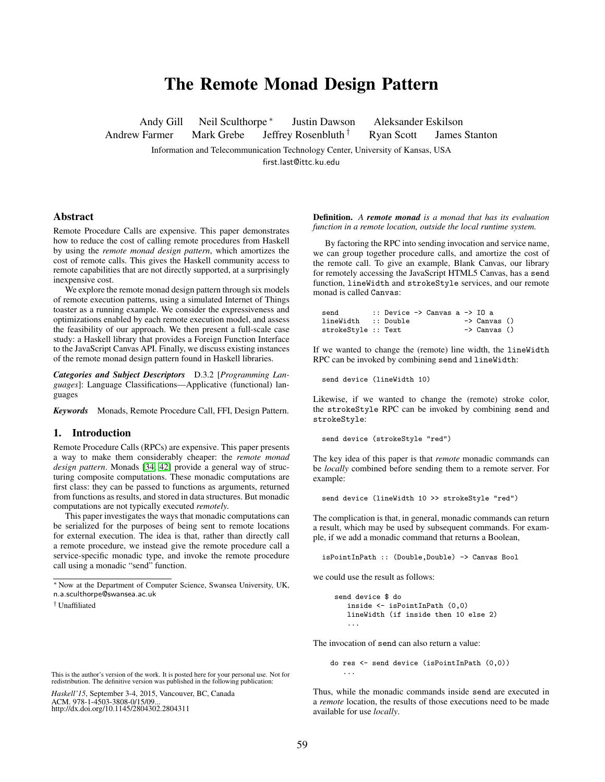# The Remote Monad Design Pattern

Andy Gill Neil Sculthorpe <sup>∗</sup>

<span id="page-0-0"></span>Justin Dawson Aleksander Eskilson Andrew Farmer Mark Grebe Jeffrey Rosenbluth<sup> $\dagger$ </sup> Ryan Scott James Stanton

Information and Telecommunication Technology Center, University of Kansas, USA

first.last@ittc.ku.edu

# Abstract

Remote Procedure Calls are expensive. This paper demonstrates how to reduce the cost of calling remote procedures from Haskell by using the *remote monad design pattern*, which amortizes the cost of remote calls. This gives the Haskell community access to remote capabilities that are not directly supported, at a surprisingly inexpensive cost.

We explore the remote monad design pattern through six models of remote execution patterns, using a simulated Internet of Things toaster as a running example. We consider the expressiveness and optimizations enabled by each remote execution model, and assess the feasibility of our approach. We then present a full-scale case study: a Haskell library that provides a Foreign Function Interface to the JavaScript Canvas API. Finally, we discuss existing instances of the remote monad design pattern found in Haskell libraries.

*Categories and Subject Descriptors* D.3.2 [*Programming Languages*]: Language Classifications—Applicative (functional) languages

*Keywords* Monads, Remote Procedure Call, FFI, Design Pattern.

# 1. Introduction

Remote Procedure Calls (RPCs) are expensive. This paper presents a way to make them considerably cheaper: the *remote monad design pattern*. Monads [\[34,](#page-11-0) [42\]](#page-11-1) provide a general way of structuring composite computations. These monadic computations are first class: they can be passed to functions as arguments, returned from functions as results, and stored in data structures. But monadic computations are not typically executed *remotely.*

This paper investigates the ways that monadic computations can be serialized for the purposes of being sent to remote locations for external execution. The idea is that, rather than directly call a remote procedure, we instead give the remote procedure call a service-specific monadic type, and invoke the remote procedure call using a monadic "send" function.

† Unaffiliated

This is the author's version of the work. It is posted here for your personal use. Not for redistribution. The definitive version was published in the following publication:

*Haskell'15*, September 3-4, 2015, Vancouver, BC, Canada ACM. 978-1-4503-3808-0/15/09... http://dx.doi.org/10.1145/2804302.2804311

Definition. *A remote monad is a monad that has its evaluation function in a remote location, outside the local runtime system.*

By factoring the RPC into sending invocation and service name, we can group together procedure calls, and amortize the cost of the remote call. To give an example, Blank Canvas, our library for remotely accessing the JavaScript HTML5 Canvas, has a send function, lineWidth and strokeStyle services, and our remote monad is called Canvas:

| send                | $\therefore$ Device $\rightarrow$ Canvas a $\rightarrow$ IO a |  |  |                         |  |
|---------------------|---------------------------------------------------------------|--|--|-------------------------|--|
| lineWidth :: Double |                                                               |  |  | $\rightarrow$ Canvas () |  |
| strokeStyle :: Text |                                                               |  |  | $\rightarrow$ Canvas () |  |

If we wanted to change the (remote) line width, the lineWidth RPC can be invoked by combining send and lineWidth:

send device (lineWidth 10)

Likewise, if we wanted to change the (remote) stroke color, the strokeStyle RPC can be invoked by combining send and strokeStyle:

```
send device (strokeStyle "red")
```
The key idea of this paper is that *remote* monadic commands can be *locally* combined before sending them to a remote server. For example:

send device (lineWidth 10 >> strokeStyle "red")

The complication is that, in general, monadic commands can return a result, which may be used by subsequent commands. For example, if we add a monadic command that returns a Boolean,

isPointInPath :: (Double,Double) -> Canvas Bool

we could use the result as follows:

send device \$ do inside <- isPointInPath (0,0) lineWidth (if inside then 10 else 2) ...

The invocation of send can also return a value:

```
do res <- send device (isPointInPath (0,0))
  ...
```
Thus, while the monadic commands inside send are executed in a *remote* location, the results of those executions need to be made available for use *locally*.

<sup>∗</sup> Now at the Department of Computer Science, Swansea University, UK, n.a.sculthorpe@swansea.ac.uk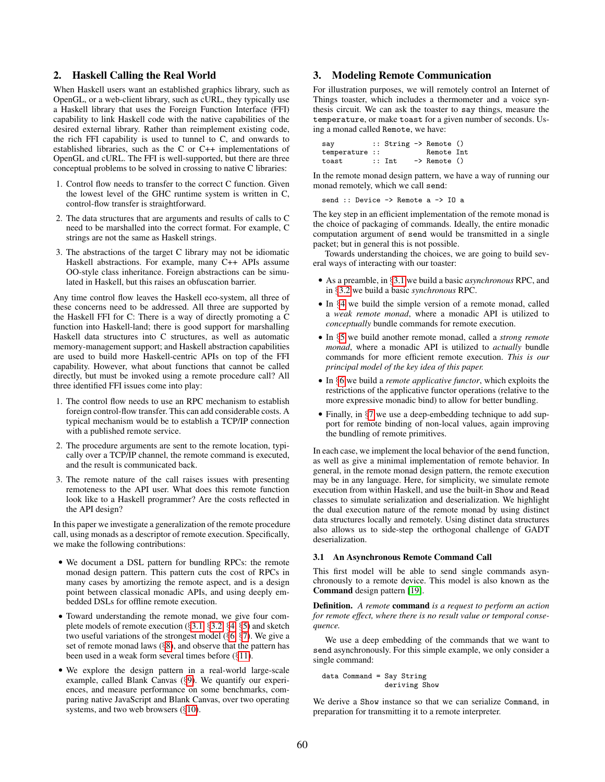# 2. Haskell Calling the Real World

When Haskell users want an established graphics library, such as OpenGL, or a web-client library, such as cURL, they typically use a Haskell library that uses the Foreign Function Interface (FFI) capability to link Haskell code with the native capabilities of the desired external library. Rather than reimplement existing code, the rich FFI capability is used to tunnel to C, and onwards to established libraries, such as the C or C++ implementations of OpenGL and cURL. The FFI is well-supported, but there are three conceptual problems to be solved in crossing to native C libraries:

- 1. Control flow needs to transfer to the correct C function. Given the lowest level of the GHC runtime system is written in C, control-flow transfer is straightforward.
- 2. The data structures that are arguments and results of calls to C need to be marshalled into the correct format. For example, C strings are not the same as Haskell strings.
- 3. The abstractions of the target C library may not be idiomatic Haskell abstractions. For example, many C++ APIs assume OO-style class inheritance. Foreign abstractions can be simulated in Haskell, but this raises an obfuscation barrier.

Any time control flow leaves the Haskell eco-system, all three of these concerns need to be addressed. All three are supported by the Haskell FFI for C: There is a way of directly promoting a C function into Haskell-land; there is good support for marshalling Haskell data structures into C structures, as well as automatic memory-management support; and Haskell abstraction capabilities are used to build more Haskell-centric APIs on top of the FFI capability. However, what about functions that cannot be called directly, but must be invoked using a remote procedure call? All three identified FFI issues come into play:

- 1. The control flow needs to use an RPC mechanism to establish foreign control-flow transfer. This can add considerable costs. A typical mechanism would be to establish a TCP/IP connection with a published remote service.
- 2. The procedure arguments are sent to the remote location, typically over a TCP/IP channel, the remote command is executed, and the result is communicated back.
- 3. The remote nature of the call raises issues with presenting remoteness to the API user. What does this remote function look like to a Haskell programmer? Are the costs reflected in the API design?

In this paper we investigate a generalization of the remote procedure call, using monads as a descriptor of remote execution. Specifically, we make the following contributions:

- We document a DSL pattern for bundling RPCs: the remote monad design pattern. This pattern cuts the cost of RPCs in many cases by amortizing the remote aspect, and is a design point between classical monadic APIs, and using deeply embedded DSLs for offline remote execution.
- Toward understanding the remote monad, we give four complete models of remote execution (§[3.1,](#page-1-0) §[3.2,](#page-2-0) §[4,](#page-3-0) §[5\)](#page-4-0) and sketch two useful variations of the strongest model (§[6,](#page-5-0) §[7\)](#page-6-0). We give a set of remote monad laws (§[8\)](#page-7-0), and observe that the pattern has been used in a weak form several times before (§[11\)](#page-9-0).
- We explore the design pattern in a real-world large-scale example, called Blank Canvas (§[9\)](#page-7-1). We quantify our experiences, and measure performance on some benchmarks, comparing native JavaScript and Blank Canvas, over two operating systems, and two web browsers (§[10\)](#page-8-0).

# 3. Modeling Remote Communication

For illustration purposes, we will remotely control an Internet of Things toaster, which includes a thermometer and a voice synthesis circuit. We can ask the toaster to say things, measure the temperature, or make toast for a given number of seconds. Using a monad called Remote, we have:

| say            |          | $::$ String $\rightarrow$ Remote () |  |
|----------------|----------|-------------------------------------|--|
| temperature :: |          | Remote Int                          |  |
| toast          | $::$ Int | $\rightarrow$ Remote ()             |  |

In the remote monad design pattern, we have a way of running our monad remotely, which we call send:

send :: Device -> Remote a -> IO a

The key step in an efficient implementation of the remote monad is the choice of packaging of commands. Ideally, the entire monadic computation argument of send would be transmitted in a single packet; but in general this is not possible.

Towards understanding the choices, we are going to build several ways of interacting with our toaster:

- As a preamble, in §[3.1](#page-1-0) we build a basic *asynchronous* RPC, and in §[3.2](#page-2-0) we build a basic *synchronous* RPC.
- In §[4](#page-3-0) we build the simple version of a remote monad, called a *weak remote monad*, where a monadic API is utilized to *conceptually* bundle commands for remote execution.
- In §[5](#page-4-0) we build another remote monad, called a *strong remote monad*, where a monadic API is utilized to *actually* bundle commands for more efficient remote execution. *This is our principal model of the key idea of this paper.*
- In §[6](#page-5-0) we build a *remote applicative functor*, which exploits the restrictions of the applicative functor operations (relative to the more expressive monadic bind) to allow for better bundling.
- Finally, in §[7](#page-6-0) we use a deep-embedding technique to add support for remote binding of non-local values, again improving the bundling of remote primitives.

In each case, we implement the local behavior of the send function, as well as give a minimal implementation of remote behavior. In general, in the remote monad design pattern, the remote execution may be in any language. Here, for simplicity, we simulate remote execution from within Haskell, and use the built-in Show and Read classes to simulate serialization and deserialization. We highlight the dual execution nature of the remote monad by using distinct data structures locally and remotely. Using distinct data structures also allows us to side-step the orthogonal challenge of GADT deserialization.

## <span id="page-1-0"></span>3.1 An Asynchronous Remote Command Call

This first model will be able to send single commands asynchronously to a remote device. This model is also known as the Command design pattern [\[19\]](#page-11-2).

Definition. *A remote* command *is a request to perform an action for remote effect, where there is no result value or temporal consequence.*

We use a deep embedding of the commands that we want to send asynchronously. For this simple example, we only consider a single command:

data Command = Say String deriving Show

We derive a Show instance so that we can serialize Command, in preparation for transmitting it to a remote interpreter.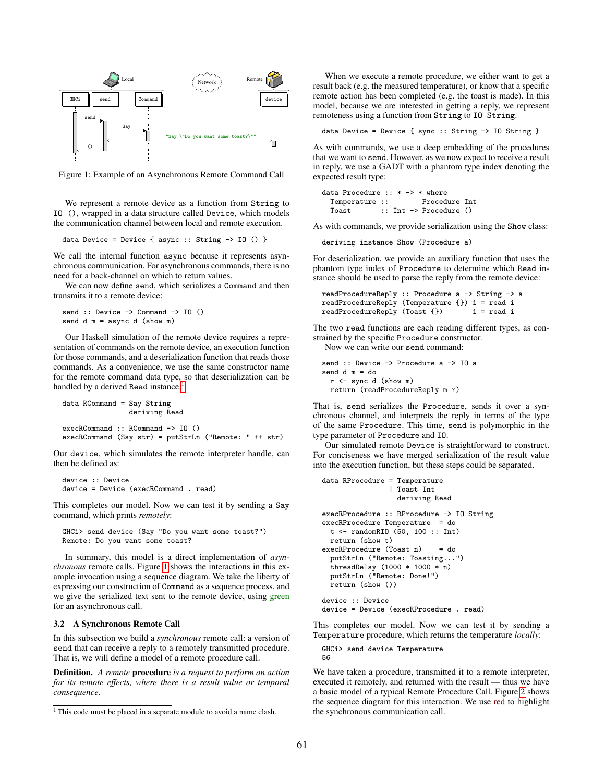<span id="page-2-1"></span>

Figure 1: Example of an Asynchronous Remote Command Call

We represent a remote device as a function from String to IO (), wrapped in a data structure called Device, which models the communication channel between local and remote execution.

data Device = Device {  $async :: String -> 10 ()$  }

We call the internal function async because it represents asynchronous communication. For asynchronous commands, there is no need for a back-channel on which to return values.

We can now define send, which serializes a Command and then transmits it to a remote device:

```
send :: Device -> Command -> IO ()
send d m = async d (show m)
```
Our Haskell simulation of the remote device requires a representation of commands on the remote device, an execution function for those commands, and a deserialization function that reads those commands. As a convenience, we use the same constructor name for the remote command data type, so that deserialization can be handled by a derived Read instance.<sup>[1](#page-0-0)</sup>

```
data RCommand = Say String
                deriving Read
execRCommand :: RCommand -> IO ()
execRCommand (Say str) = putStrLn ("Remote: " ++ str)
```
Our device, which simulates the remote interpreter handle, can then be defined as:

```
device :: Device
device = Device (execRCommand . read)
```
This completes our model. Now we can test it by sending a Say command, which prints *remotely*:

GHCi> send device (Say "Do you want some toast?") Remote: Do you want some toast?

In summary, this model is a direct implementation of *asynchronous* remote calls. Figure [1](#page-2-1) shows the interactions in this example invocation using a sequence diagram. We take the liberty of expressing our construction of Command as a sequence process, and we give the serialized text sent to the remote device, using green for an asynchronous call.

#### <span id="page-2-0"></span>3.2 A Synchronous Remote Call

In this subsection we build a *synchronous* remote call: a version of send that can receive a reply to a remotely transmitted procedure. That is, we will define a model of a remote procedure call.

Definition. *A remote* procedure *is a request to perform an action for its remote effects, where there is a result value or temporal consequence.*

When we execute a remote procedure, we either want to get a result back (e.g. the measured temperature), or know that a specific remote action has been completed (e.g. the toast is made). In this model, because we are interested in getting a reply, we represent remoteness using a function from String to IO String.

data Device = Device { sync :: String -> IO String }

As with commands, we use a deep embedding of the procedures that we want to send. However, as we now expect to receive a result in reply, we use a GADT with a phantom type index denoting the expected result type:

data Procedure :: \* -> \* where Temperature :: Procedure Int Toast :: Int -> Procedure ()

As with commands, we provide serialization using the Show class:

deriving instance Show (Procedure a)

For deserialization, we provide an auxiliary function that uses the phantom type index of Procedure to determine which Read instance should be used to parse the reply from the remote device:

```
readProcedureReply :: Procedure a -> String -> a
readProcedureReply (Temperature \{\}) i = read i<br>readProcedureReply (Toast \{\}) i = read i
readProcedureReply (Toast {})
```
The two read functions are each reading different types, as constrained by the specific Procedure constructor.

Now we can write our send command:

```
send :: Device -> Procedure a -> IO a
send d m = do
  r \leftarrow sync d (show m)
  return (readProcedureReply m r)
```
That is, send serializes the Procedure, sends it over a synchronous channel, and interprets the reply in terms of the type of the same Procedure. This time, send is polymorphic in the type parameter of Procedure and IO.

Our simulated remote Device is straightforward to construct. For conciseness we have merged serialization of the result value into the execution function, but these steps could be separated.

```
| Toast Int
                  deriving Read
execRProcedure :: RProcedure -> IO String
execRProcedure Temperature = do
 t <- randomRIO (50, 100 :: Int)
 return (show t)
execRProcedure (Toast n) = do
 putStrLn ("Remote: Toasting...")
 threadDelay (1000 * 1000 * n)putStrLn ("Remote: Done!")
 return (show ())
device :: Device
device = Device (execRProcedure . read)
```
This completes our model. Now we can test it by sending a Temperature procedure, which returns the temperature *locally*:

GHCi> send device Temperature 56

data RProcedure = Temperature

We have taken a procedure, transmitted it to a remote interpreter, executed it remotely, and returned with the result — thus we have a basic model of a typical Remote Procedure Call. Figure [2](#page-3-1) shows the sequence diagram for this interaction. We use red to highlight the synchronous communication call.

<sup>&</sup>lt;sup>1</sup> This code must be placed in a separate module to avoid a name clash.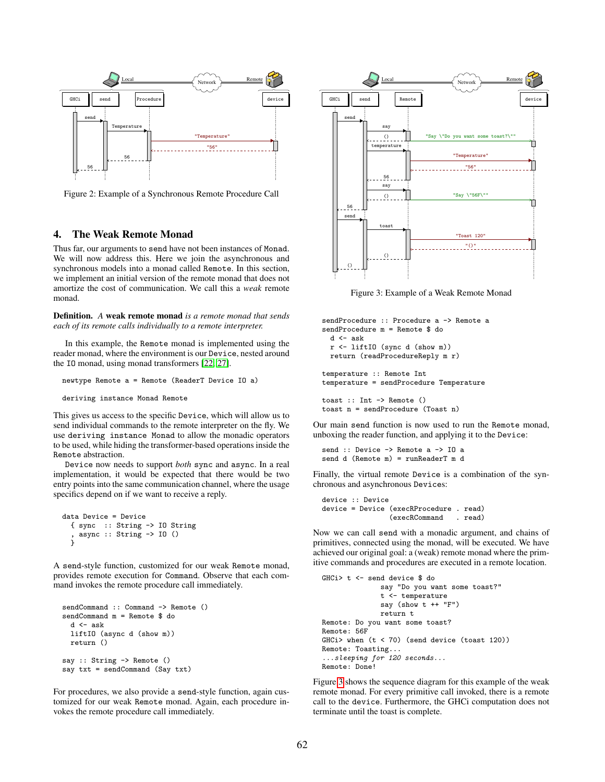<span id="page-3-1"></span>

Figure 2: Example of a Synchronous Remote Procedure Call

# <span id="page-3-0"></span>4. The Weak Remote Monad

Thus far, our arguments to send have not been instances of Monad. We will now address this. Here we join the asynchronous and synchronous models into a monad called Remote. In this section, we implement an initial version of the remote monad that does not amortize the cost of communication. We call this a *weak* remote monad.

Definition. *A* weak remote monad *is a remote monad that sends each of its remote calls individually to a remote interpreter.*

In this example, the Remote monad is implemented using the reader monad, where the environment is our Device, nested around the IO monad, using monad transformers [\[22,](#page-11-3) [27\]](#page-11-4).

```
newtype Remote a = Remote (ReaderT Device IO a)
```
deriving instance Monad Remote

This gives us access to the specific Device, which will allow us to send individual commands to the remote interpreter on the fly. We use deriving instance Monad to allow the monadic operators to be used, while hiding the transformer-based operations inside the Remote abstraction.

Device now needs to support *both* sync and async. In a real implementation, it would be expected that there would be two entry points into the same communication channel, where the usage specifics depend on if we want to receive a reply.

```
data Device = Device
 { sync :: String -> IO String
  , async :: String -> IO ()
  }
```
A send-style function, customized for our weak Remote monad, provides remote execution for Command. Observe that each command invokes the remote procedure call immediately.

```
sendCommand :: Command -> Remote ()
sendCommand m = Remote $ do
  d \leftarrow askliftIO (async d (show m))
 return ()
say :: String -> Remote ()
say txt = sendCommand (Say txt)
```
For procedures, we also provide a send-style function, again customized for our weak Remote monad. Again, each procedure invokes the remote procedure call immediately.

<span id="page-3-2"></span>

Figure 3: Example of a Weak Remote Monad

```
sendProcedure :: Procedure a -> Remote a
sendProcedure m = Remote $ do
  d \leftarrow askr <- liftIO (sync d (show m))
  return (readProcedureReply m r)
temperature :: Remote Int
temperature = sendProcedure Temperature
toast :: Int -> Remote ()
toast n = sendProcedure (Toast n)
```
Our main send function is now used to run the Remote monad, unboxing the reader function, and applying it to the Device:

```
send :: Device -> Remote a -> IO a
send d (Remote m) = runReaderT m d
```
Finally, the virtual remote Device is a combination of the synchronous and asynchronous Devices:

```
device :: Device
device = Device (execRProcedure . read)
                (execRCommand . read)
```
Now we can call send with a monadic argument, and chains of primitives, connected using the monad, will be executed. We have achieved our original goal: a (weak) remote monad where the primitive commands and procedures are executed in a remote location.

```
GHCi> t <- send device $ do
              say "Do you want some toast?"
              t <- temperature
              say (show t ++ "F")
              return t
Remote: Do you want some toast?
Remote: 56F
GHCi> when (t < 70) (send device (toast 120))
Remote: Toasting...
...sleeping for 120 seconds...
Remote: Done!
```
Figure [3](#page-3-2) shows the sequence diagram for this example of the weak remote monad. For every primitive call invoked, there is a remote call to the device. Furthermore, the GHCi computation does not terminate until the toast is complete.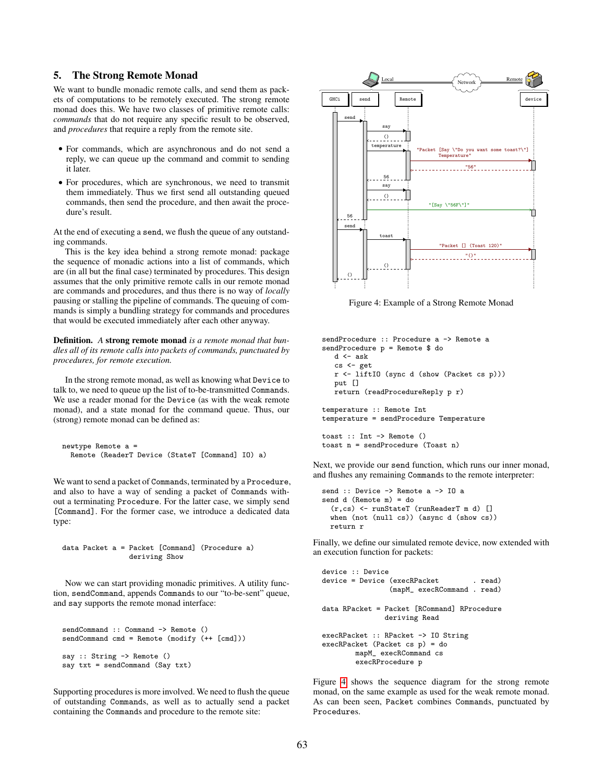# <span id="page-4-0"></span>5. The Strong Remote Monad

We want to bundle monadic remote calls, and send them as packets of computations to be remotely executed. The strong remote monad does this. We have two classes of primitive remote calls: *commands* that do not require any specific result to be observed, and *procedures* that require a reply from the remote site.

- For commands, which are asynchronous and do not send a reply, we can queue up the command and commit to sending it later.
- For procedures, which are synchronous, we need to transmit them immediately. Thus we first send all outstanding queued commands, then send the procedure, and then await the procedure's result.

At the end of executing a send, we flush the queue of any outstanding commands.

This is the key idea behind a strong remote monad: package the sequence of monadic actions into a list of commands, which are (in all but the final case) terminated by procedures. This design assumes that the only primitive remote calls in our remote monad are commands and procedures, and thus there is no way of *locally* pausing or stalling the pipeline of commands. The queuing of commands is simply a bundling strategy for commands and procedures that would be executed immediately after each other anyway.

Definition. *A* strong remote monad *is a remote monad that bundles all of its remote calls into packets of commands, punctuated by procedures, for remote execution.*

In the strong remote monad, as well as knowing what Device to talk to, we need to queue up the list of to-be-transmitted Commands. We use a reader monad for the Device (as with the weak remote monad), and a state monad for the command queue. Thus, our (strong) remote monad can be defined as:

```
newtype Remote a =
  Remote (ReaderT Device (StateT [Command] IO) a)
```
We want to send a packet of Commands, terminated by a Procedure, and also to have a way of sending a packet of Commands without a terminating Procedure. For the latter case, we simply send [Command]. For the former case, we introduce a dedicated data type:

```
data Packet a = Packet [Command] (Procedure a)
                deriving Show
```
Now we can start providing monadic primitives. A utility function, sendCommand, appends Commands to our "to-be-sent" queue, and say supports the remote monad interface:

```
sendCommand :: Command -> Remote ()
sendCommand cmd = Remote (modify (++ [cmd]))
say :: String -> Remote ()
say txt = sendCommand (Say txt)
```
Supporting procedures is more involved. We need to flush the queue of outstanding Commands, as well as to actually send a packet containing the Commands and procedure to the remote site:

<span id="page-4-1"></span>

Figure 4: Example of a Strong Remote Monad

```
sendProcedure :: Procedure a -> Remote a
sendProcedure p = Remote $ do
   d \leftarrow askcs <- get
  r <- liftIO (sync d (show (Packet cs p)))
  put []
  return (readProcedureReply p r)
temperature :: Remote Int
temperature = sendProcedure Temperature
toast :: Int -> Remote ()
toast n = sendProcedure (Toast n)
```
Next, we provide our send function, which runs our inner monad, and flushes any remaining Commands to the remote interpreter:

```
send :: Device -> Remote a -> IO a
send d (Remote m) = do
  (r,cs) <- runStateT (runReaderT m d) []
  when (not (null cs)) (async d (show cs))
  return r
```
Finally, we define our simulated remote device, now extended with an execution function for packets:

```
device :: Device
device = Device (execRPacket . read)
                (mapM_ execRCommand . read)
data RPacket = Packet [RCommand] RProcedure
              deriving Read
execRPacket :: RPacket -> IO String
execRPacket (Packet cs p) = do
       mapM_ execRCommand cs
       execRProcedure p
```
Figure [4](#page-4-1) shows the sequence diagram for the strong remote monad, on the same example as used for the weak remote monad. As can been seen, Packet combines Commands, punctuated by Procedures.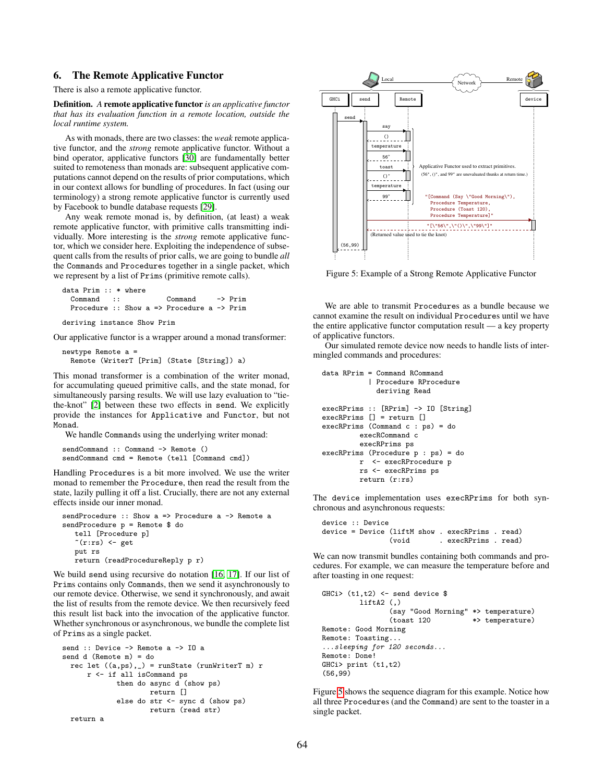# <span id="page-5-0"></span>6. The Remote Applicative Functor

There is also a remote applicative functor.

Definition. *A* remote applicative functor *is an applicative functor that has its evaluation function in a remote location, outside the local runtime system.*

As with monads, there are two classes: the *weak* remote applicative functor, and the *strong* remote applicative functor. Without a bind operator, applicative functors [\[30\]](#page-11-5) are fundamentally better suited to remoteness than monads are: subsequent applicative computations cannot depend on the results of prior computations, which in our context allows for bundling of procedures. In fact (using our terminology) a strong remote applicative functor is currently used by Facebook to bundle database requests [\[29\]](#page-11-6).

Any weak remote monad is, by definition, (at least) a weak remote applicative functor, with primitive calls transmitting individually. More interesting is the *strong* remote applicative functor, which we consider here. Exploiting the independence of subsequent calls from the results of prior calls, we are going to bundle *all* the Commands and Procedures together in a single packet, which we represent by a list of Prims (primitive remote calls).

| data Prim :: * where |  |                                                       |  |         |
|----------------------|--|-------------------------------------------------------|--|---------|
| Command ::           |  | Command                                               |  | -> Prim |
|                      |  | Procedure :: Show a => Procedure a $\rightarrow$ Prim |  |         |

```
deriving instance Show Prim
```
Our applicative functor is a wrapper around a monad transformer:

```
newtype Remote a =
  Remote (WriterT [Prim] (State [String]) a)
```
This monad transformer is a combination of the writer monad, for accumulating queued primitive calls, and the state monad, for simultaneously parsing results. We will use lazy evaluation to "tiethe-knot" [\[2\]](#page-11-7) between these two effects in send. We explicitly provide the instances for Applicative and Functor, but not Monad.

We handle Commands using the underlying writer monad:

```
sendCommand :: Command -> Remote ()
sendCommand cmd = Remote (tell [Command cmd])
```
Handling Procedures is a bit more involved. We use the writer monad to remember the Procedure, then read the result from the state, lazily pulling it off a list. Crucially, there are not any external effects inside our inner monad.

```
sendProcedure :: Show a => Procedure a -> Remote a
sendProcedure p = Remote $ do
   tell [Procedure p]
   *(r:rs) \leftarrow getput rs
   return (readProcedureReply p r)
```
We build send using recursive do notation [\[16,](#page-11-8) [17\]](#page-11-9). If our list of Prims contains only Commands, then we send it asynchronously to our remote device. Otherwise, we send it synchronously, and await the list of results from the remote device. We then recursively feed this result list back into the invocation of the applicative functor. Whether synchronous or asynchronous, we bundle the complete list of Prims as a single packet.

```
send :: Device -> Remote a -> IO a
send d (Remote m) = do
 rec let ((a, ps), _-) = runState (runWriterT m) r
      r <- if all isCommand ps
              then do async \overline{d} (show ps)
                      return []
              else do str <- sync d (show ps)
                      return (read str)
  return a
```
<span id="page-5-1"></span>

Figure 5: Example of a Strong Remote Applicative Functor

We are able to transmit Procedures as a bundle because we cannot examine the result on individual Procedures until we have the entire applicative functor computation result — a key property of applicative functors.

Our simulated remote device now needs to handle lists of intermingled commands and procedures:

```
data RPrim = Command RCommand
           | Procedure RProcedure
             deriving Read
execRPrims :: [RPrim] -> IO [String]
execRPrims [] = return []
execRPrims (Command c : ps) = do
         execRCommand c
         execRPrims ps
execRPrims (Procedure p : ps) = do
        r <- execRProcedure p
         rs <- execRPrims ps
         return (r:rs)
```
The device implementation uses execRPrims for both synchronous and asynchronous requests:

```
device :: Device
device = Device (liftM show . execRPrims . read)
               (void . execRPrims . read)
```
We can now transmit bundles containing both commands and procedures. For example, we can measure the temperature before and after toasting in one request:

```
GHCi (t1,t2) \leftarrow send device $
         liftA2 (,)
                 (say "Good Morning" *> temperature)
                                      *> temperature)
Remote: Good Morning
Remote: Toasting...
...sleeping for 120 seconds...
Remote: Done!
GHCi> print (t1,t2)
(56,99)
```
Figure [5](#page-5-1) shows the sequence diagram for this example. Notice how all three Procedures (and the Command) are sent to the toaster in a single packet.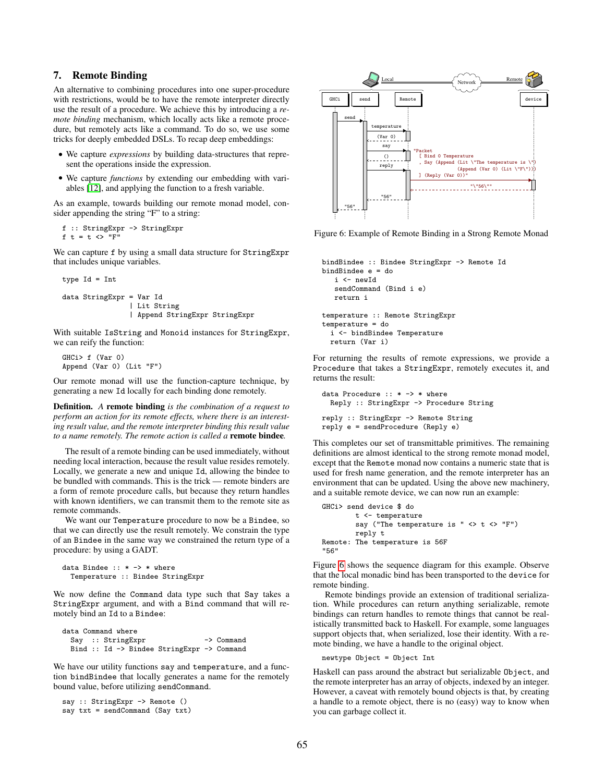# <span id="page-6-0"></span>7. Remote Binding

An alternative to combining procedures into one super-procedure with restrictions, would be to have the remote interpreter directly use the result of a procedure. We achieve this by introducing a *remote binding* mechanism, which locally acts like a remote procedure, but remotely acts like a command. To do so, we use some tricks for deeply embedded DSLs. To recap deep embeddings:

- We capture *expressions* by building data-structures that represent the operations inside the expression.
- We capture *functions* by extending our embedding with variables [\[12\]](#page-11-10), and applying the function to a fresh variable.

As an example, towards building our remote monad model, consider appending the string "F" to a string:

```
f :: StringExpr -> StringExpr
f t = t \Leftrightarrow "F"
```
We can capture f by using a small data structure for StringExpr that includes unique variables.

```
type Id = Int
data StringExpr = Var Id
                | Lit String
                | Append StringExpr StringExpr
```
With suitable IsString and Monoid instances for StringExpr, we can reify the function:

```
GHCi> f (Var 0)
Append (Var 0) (Lit "F")
```
Our remote monad will use the function-capture technique, by generating a new Id locally for each binding done remotely.

Definition. *A* remote binding *is the combination of a request to perform an action for its remote effects, where there is an interesting result value, and the remote interpreter binding this result value to a name remotely. The remote action is called a* remote bindee*.*

The result of a remote binding can be used immediately, without needing local interaction, because the result value resides remotely. Locally, we generate a new and unique Id, allowing the bindee to be bundled with commands. This is the trick — remote binders are a form of remote procedure calls, but because they return handles with known identifiers, we can transmit them to the remote site as remote commands.

We want our Temperature procedure to now be a Bindee, so that we can directly use the result remotely. We constrain the type of an Bindee in the same way we constrained the return type of a procedure: by using a GADT.

```
data Bindee :: * -> * where
 Temperature :: Bindee StringExpr
```
We now define the Command data type such that Say takes a StringExpr argument, and with a Bind command that will remotely bind an Id to a Bindee:

```
data Command where
 Say :: StringExpr -> Command
 Bind :: Id -> Bindee StringExpr -> Command
```
We have our utility functions say and temperature, and a function bindBindee that locally generates a name for the remotely bound value, before utilizing sendCommand.

```
say :: StringExpr -> Remote ()
say txt = sendCommand (Say txt)
```
<span id="page-6-1"></span>

Figure 6: Example of Remote Binding in a Strong Remote Monad

```
bindBindee :: Bindee StringExpr -> Remote Id
bindBindee e = do
  i <- newId
   sendCommand (Bind i e)
   return i
temperature :: Remote StringExpr
temperature = do
  i <- bindBindee Temperature
  return (Var i)
```
For returning the results of remote expressions, we provide a Procedure that takes a StringExpr, remotely executes it, and returns the result:

```
data Procedure :: * -> * where
 Reply :: StringExpr -> Procedure String
reply :: StringExpr -> Remote String
reply e = sendProcedure (Reply e)
```
This completes our set of transmittable primitives. The remaining definitions are almost identical to the strong remote monad model, except that the Remote monad now contains a numeric state that is used for fresh name generation, and the remote interpreter has an environment that can be updated. Using the above new machinery, and a suitable remote device, we can now run an example:

```
GHCi> send device $ do
         t <- temperature
         say ("The temperature is "\langle \rangle t \langle \rangle "F")
         reply t
Remote: The temperature is 56F
"56"
```
Figure [6](#page-6-1) shows the sequence diagram for this example. Observe that the local monadic bind has been transported to the device for remote binding.

Remote bindings provide an extension of traditional serialization. While procedures can return anything serializable, remote bindings can return handles to remote things that cannot be realistically transmitted back to Haskell. For example, some languages support objects that, when serialized, lose their identity. With a remote binding, we have a handle to the original object.

```
newtype Object = Object Int
```
Haskell can pass around the abstract but serializable Object, and the remote interpreter has an array of objects, indexed by an integer. However, a caveat with remotely bound objects is that, by creating a handle to a remote object, there is no (easy) way to know when you can garbage collect it.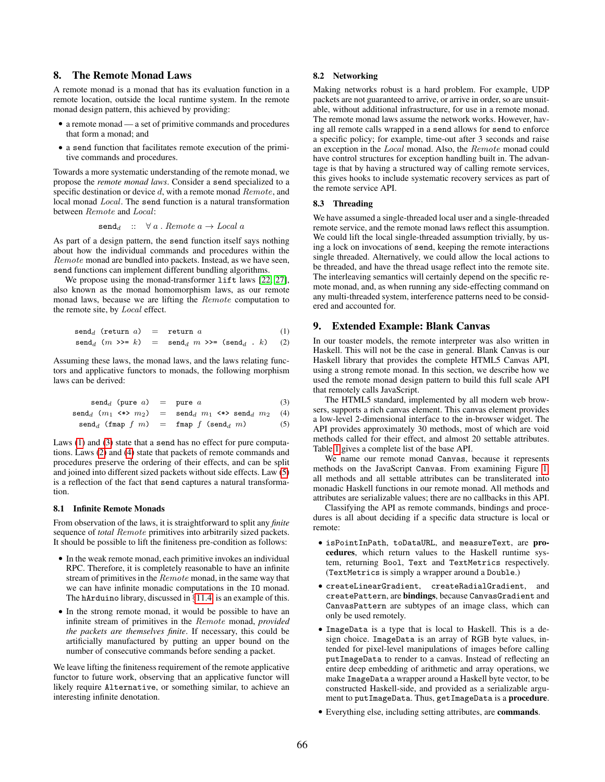# <span id="page-7-0"></span>8. The Remote Monad Laws

A remote monad is a monad that has its evaluation function in a remote location, outside the local runtime system. In the remote monad design pattern, this achieved by providing:

- a remote monad a set of primitive commands and procedures that form a monad; and
- a send function that facilitates remote execution of the primitive commands and procedures.

Towards a more systematic understanding of the remote monad, we propose the *remote monad laws*. Consider a send specialized to a specific destination or device d, with a remote monad Remote, and local monad Local. The send function is a natural transformation between Remote and Local:

$$
\texttt{send}_d \ :: \ \forall a \ . \ Remove a \rightarrow Local \ a
$$

As part of a design pattern, the send function itself says nothing about how the individual commands and procedures within the Remote monad are bundled into packets. Instead, as we have seen, send functions can implement different bundling algorithms.

We propose using the monad-transformer lift laws [\[22,](#page-11-3) [27\]](#page-11-4), also known as the monad homomorphism laws, as our remote monad laws, because we are lifting the Remote computation to the remote site, by Local effect.

<span id="page-7-2"></span>
$$
send_d (return a) = return a
$$
\n
$$
send_d (m \gg = k) = send_d m \gg = (send_d \cdot k) (2)
$$

Assuming these laws, the monad laws, and the laws relating functors and applicative functors to monads, the following morphism laws can be derived:

<span id="page-7-3"></span>
$$
send_d (pure a) = pure a
$$
 (3)  
\n
$$
send_d (m_1 \leftrightarrow m_2) = send_d m_1 \leftrightarrow send_d m_2
$$
 (4)  
\n
$$
send_d (fmap f m) = fmap f (send_d m)
$$
 (5)

Laws [\(1\)](#page-7-2) and [\(3\)](#page-7-3) state that a send has no effect for pure computations. Laws [\(2\)](#page-7-2) and [\(4\)](#page-7-3) state that packets of remote commands and procedures preserve the ordering of their effects, and can be split and joined into different sized packets without side effects. Law [\(5\)](#page-7-3) is a reflection of the fact that send captures a natural transformation.

#### 8.1 Infinite Remote Monads

From observation of the laws, it is straightforward to split any *finite* sequence of *total* Remote primitives into arbitrarily sized packets. It should be possible to lift the finiteness pre-condition as follows:

- In the weak remote monad, each primitive invokes an individual RPC. Therefore, it is completely reasonable to have an infinite stream of primitives in the Remote monad, in the same way that we can have infinite monadic computations in the IO monad. The hArduino library, discussed in §[11.4,](#page-9-1) is an example of this.
- In the strong remote monad, it would be possible to have an infinite stream of primitives in the Remote monad, *provided the packets are themselves finite*. If necessary, this could be artificially manufactured by putting an upper bound on the number of consecutive commands before sending a packet.

We leave lifting the finiteness requirement of the remote applicative functor to future work, observing that an applicative functor will likely require Alternative, or something similar, to achieve an interesting infinite denotation.

#### 8.2 Networking

Making networks robust is a hard problem. For example, UDP packets are not guaranteed to arrive, or arrive in order, so are unsuitable, without additional infrastructure, for use in a remote monad. The remote monad laws assume the network works. However, having all remote calls wrapped in a send allows for send to enforce a specific policy; for example, time-out after 3 seconds and raise an exception in the Local monad. Also, the Remote monad could have control structures for exception handling built in. The advantage is that by having a structured way of calling remote services, this gives hooks to include systematic recovery services as part of the remote service API.

#### 8.3 Threading

We have assumed a single-threaded local user and a single-threaded remote service, and the remote monad laws reflect this assumption. We could lift the local single-threaded assumption trivially, by using a lock on invocations of send, keeping the remote interactions single threaded. Alternatively, we could allow the local actions to be threaded, and have the thread usage reflect into the remote site. The interleaving semantics will certainly depend on the specific remote monad, and, as when running any side-effecting command on any multi-threaded system, interference patterns need to be considered and accounted for.

# <span id="page-7-1"></span>9. Extended Example: Blank Canvas

In our toaster models, the remote interpreter was also written in Haskell. This will not be the case in general. Blank Canvas is our Haskell library that provides the complete HTML5 Canvas API, using a strong remote monad. In this section, we describe how we used the remote monad design pattern to build this full scale API that remotely calls JavaScript.

The HTML5 standard, implemented by all modern web browsers, supports a rich canvas element. This canvas element provides a low-level 2-dimensional interface to the in-browser widget. The API provides approximately 30 methods, most of which are void methods called for their effect, and almost 20 settable attributes. Table [1](#page-8-1) gives a complete list of the base API.

We name our remote monad Canvas, because it represents methods on the JavaScript Canvas. From examining Figure [1,](#page-8-1) all methods and all settable attributes can be transliterated into monadic Haskell functions in our remote monad. All methods and attributes are serializable values; there are no callbacks in this API.

Classifying the API as remote commands, bindings and procedures is all about deciding if a specific data structure is local or remote:

- isPointInPath, toDataURL, and measureText, are procedures, which return values to the Haskell runtime system, returning Bool, Text and TextMetrics respectively. (TextMetrics is simply a wrapper around a Double.)
- createLinearGradient, createRadialGradient, and createPattern, are bindings, because CanvasGradient and CanvasPattern are subtypes of an image class, which can only be used remotely.
- ImageData is a type that is local to Haskell. This is a design choice. ImageData is an array of RGB byte values, intended for pixel-level manipulations of images before calling putImageData to render to a canvas. Instead of reflecting an entire deep embedding of arithmetic and array operations, we make ImageData a wrapper around a Haskell byte vector, to be constructed Haskell-side, and provided as a serializable argument to put ImageData. Thus, get ImageData is a procedure.
- Everything else, including setting attributes, are commands.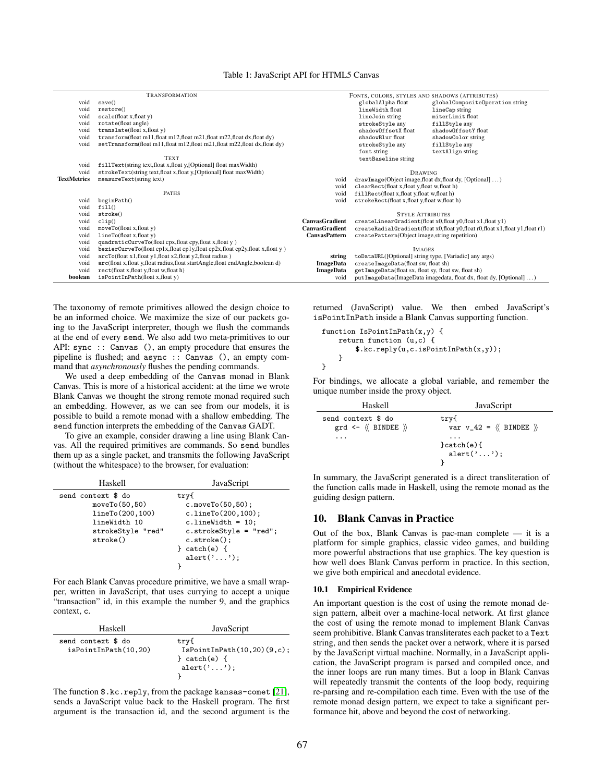#### Table 1: JavaScript API for HTML5 Canvas

<span id="page-8-1"></span>

| TRANSFORMATION     |                                                                                  |                       | FONTS, COLORS, STYLES AND SHADOWS (ATTRIBUTES)         |                                                                             |  |
|--------------------|----------------------------------------------------------------------------------|-----------------------|--------------------------------------------------------|-----------------------------------------------------------------------------|--|
| void               | save()                                                                           |                       | globalAlpha float                                      | globalCompositeOperation string                                             |  |
| void               | restore()                                                                        |                       | lineWidth float                                        | lineCap string                                                              |  |
| void               | scale(float x, float y)                                                          |                       | lineJoin string                                        | miterLimit float                                                            |  |
| void               | rotate(float angle)                                                              |                       | strokeStyle any                                        | fillStyle any                                                               |  |
| void               | translate(float x, float y)                                                      |                       | shadow0ffsetX float                                    | shadow0ffsetYfloat                                                          |  |
| void               | transform(float m11,float m12,float m21,float m22,float dx,float dy)             |                       | shadowBlur float                                       | shadowColor string                                                          |  |
| void               | setTransform(float m11,float m12,float m21,float m22,float dx,float dy)          |                       | strokeStyle any                                        | fillStyle any                                                               |  |
|                    |                                                                                  |                       | font string                                            | textAlign string                                                            |  |
|                    | <b>TEXT</b>                                                                      |                       | textBaseline string                                    |                                                                             |  |
| void               | fillText(string text,float x,float y,[Optional] float maxWidth)                  |                       |                                                        |                                                                             |  |
| void               | strokeText(string text,float x,float y,[Optional] float maxWidth)                |                       | <b>DRAWING</b>                                         |                                                                             |  |
| <b>TextMetrics</b> | measureText(string text)                                                         | void                  |                                                        | drawImage(Object image,float dx,float dy, [Optional] )                      |  |
|                    |                                                                                  | void                  | clearRect(float x,float y,float w,float h)             |                                                                             |  |
|                    | <b>PATHS</b>                                                                     | void                  | fillRect(float x,float y,float w,float h)              |                                                                             |  |
| void               | $begin{bmatrix}$                                                                 | void                  | strokeRect(float x,float y,float w,float h)            |                                                                             |  |
| void               | fill()                                                                           |                       |                                                        |                                                                             |  |
| void               | stroke()                                                                         |                       | <b>STYLE ATTRIBUTES</b>                                |                                                                             |  |
| void               | clip()                                                                           | CanvasGradient        |                                                        | createLinearGradient(float x0,float y0,float x1,float y1)                   |  |
| void               | moveTo(float x, float y)                                                         | <b>CanvasGradient</b> |                                                        | createRadialGradient(float x0,float y0,float r0,float x1,float y1,float r1) |  |
| void               | lineTo(float x, float y)                                                         | <b>CanvasPattern</b>  | createPattern(Object image, string repetition)         |                                                                             |  |
| void               | quadraticCurveTo(float cpx,float cpy,float x,float y)                            |                       |                                                        |                                                                             |  |
| void               | bezierCurveTo(float cp1x,float cp1y,float cp2x,float cp2y,float x,float y)       |                       | <b>IMAGES</b>                                          |                                                                             |  |
| void               | $arcTo$ (float x1, float y1, float x2, float y2, float radius)                   | string                | toDataURL([Optional] string type, [Variadic] any args) |                                                                             |  |
| void               | arc(float x, float y, float radius, float startAngle, float endAngle, boolean d) | <b>ImageData</b>      | createImageData(float sw, float sh)                    |                                                                             |  |
| void               | rect(float x,float y,float w,float h)                                            | <b>ImageData</b>      | getImageData(float sx, float sy, float sw, float sh)   |                                                                             |  |
| boolean            | isPointInPath(float x,float y)                                                   | void                  |                                                        | put ImageData(ImageData imagedata, float dx, float dy, [Optional] )         |  |

The taxonomy of remote primitives allowed the design choice to be an informed choice. We maximize the size of our packets going to the JavaScript interpreter, though we flush the commands at the end of every send. We also add two meta-primitives to our API: sync :: Canvas (), an empty procedure that ensures the pipeline is flushed; and async :: Canvas (), an empty command that *asynchronously* flushes the pending commands.

We used a deep embedding of the Canvas monad in Blank Canvas. This is more of a historical accident: at the time we wrote Blank Canvas we thought the strong remote monad required such an embedding. However, as we can see from our models, it is possible to build a remote monad with a shallow embedding. The send function interprets the embedding of the Canvas GADT.

To give an example, consider drawing a line using Blank Canvas. All the required primitives are commands. So send bundles them up as a single packet, and transmits the following JavaScript (without the whitespace) to the browser, for evaluation:

| Haskell                                                                                                  | JavaScript                                                                                                                                                            |
|----------------------------------------------------------------------------------------------------------|-----------------------------------------------------------------------------------------------------------------------------------------------------------------------|
| send context \$ do<br>moveTo(50, 50)<br>lineTo(200,100)<br>lineWidth 10<br>strokeStyle "red"<br>stroke() | try{<br>c.moveTo(50, 50);<br>c.lineTo(200, 100);<br>$cu$ .lineWidth = 10;<br>$c.$ stroke $Style = "red";$<br>$c.$ stroke $()$ ;<br>$} \catch(e) \{$<br>alert $($ ''); |

For each Blank Canvas procedure primitive, we have a small wrapper, written in JavaScript, that uses currying to accept a unique "transaction" id, in this example the number 9, and the graphics context, c.

| Haskell                                    | JavaScript                                                               |
|--------------------------------------------|--------------------------------------------------------------------------|
| send context \$ do<br>isPointInPath(10,20) | tryf<br>IsPointInPath(10,20)(9,c);<br>$} \catch(e) \{$<br>alert $($ ''); |

The function \$.kc.reply, from the package kansas-comet [\[21\]](#page-11-11), sends a JavaScript value back to the Haskell program. The first argument is the transaction id, and the second argument is the returned (JavaScript) value. We then embed JavaScript's isPointInPath inside a Blank Canvas supporting function.

```
function IsPointInPath(x,y) {
    return function (u,c) {
        $.kc.reply(u,c.isPointInPath(x,y));
    }
}
```
For bindings, we allocate a global variable, and remember the unique number inside the proxy object.

| Haskell                                                                         | JavaScript                                                                |
|---------------------------------------------------------------------------------|---------------------------------------------------------------------------|
| send context \$ do<br>grd $\leftarrow$ $\langle\langle$ BINDEE $\rangle\rangle$ | try <sub>1</sub><br>var $v_42 = \langle \langle$ BINDEE $\rangle \rangle$ |
| .                                                                               | $\cdots$<br>$}catch(e)$<br>$\text{alert}(\text{''}):$                     |

In summary, the JavaScript generated is a direct transliteration of the function calls made in Haskell, using the remote monad as the guiding design pattern.

# <span id="page-8-0"></span>10. Blank Canvas in Practice

Out of the box, Blank Canvas is pac-man complete — it is a platform for simple graphics, classic video games, and building more powerful abstractions that use graphics. The key question is how well does Blank Canvas perform in practice. In this section, we give both empirical and anecdotal evidence.

#### 10.1 Empirical Evidence

An important question is the cost of using the remote monad design pattern, albeit over a machine-local network. At first glance the cost of using the remote monad to implement Blank Canvas seem prohibitive. Blank Canvas transliterates each packet to a Text string, and then sends the packet over a network, where it is parsed by the JavaScript virtual machine. Normally, in a JavaScript application, the JavaScript program is parsed and compiled once, and the inner loops are run many times. But a loop in Blank Canvas will repeatedly transmit the contents of the loop body, requiring re-parsing and re-compilation each time. Even with the use of the remote monad design pattern, we expect to take a significant performance hit, above and beyond the cost of networking.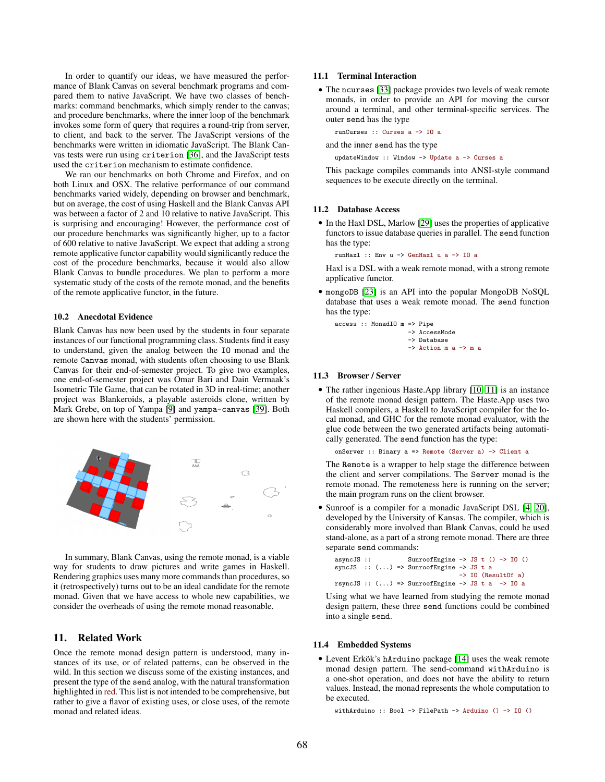In order to quantify our ideas, we have measured the performance of Blank Canvas on several benchmark programs and compared them to native JavaScript. We have two classes of benchmarks: command benchmarks, which simply render to the canvas; and procedure benchmarks, where the inner loop of the benchmark invokes some form of query that requires a round-trip from server, to client, and back to the server. The JavaScript versions of the benchmarks were written in idiomatic JavaScript. The Blank Canvas tests were run using criterion [\[36\]](#page-11-12), and the JavaScript tests used the criterion mechanism to estimate confidence.

We ran our benchmarks on both Chrome and Firefox, and on both Linux and OSX. The relative performance of our command benchmarks varied widely, depending on browser and benchmark, but on average, the cost of using Haskell and the Blank Canvas API was between a factor of 2 and 10 relative to native JavaScript. This is surprising and encouraging! However, the performance cost of our procedure benchmarks was significantly higher, up to a factor of 600 relative to native JavaScript. We expect that adding a strong remote applicative functor capability would significantly reduce the cost of the procedure benchmarks, because it would also allow Blank Canvas to bundle procedures. We plan to perform a more systematic study of the costs of the remote monad, and the benefits of the remote applicative functor, in the future.

#### 10.2 Anecdotal Evidence

Blank Canvas has now been used by the students in four separate instances of our functional programming class. Students find it easy to understand, given the analog between the IO monad and the remote Canvas monad, with students often choosing to use Blank Canvas for their end-of-semester project. To give two examples, one end-of-semester project was Omar Bari and Dain Vermaak's Isometric Tile Game, that can be rotated in 3D in real-time; another project was Blankeroids, a playable asteroids clone, written by Mark Grebe, on top of Yampa [\[9\]](#page-11-13) and yampa-canvas [\[39\]](#page-11-14). Both are shown here with the students' permission.



In summary, Blank Canvas, using the remote monad, is a viable way for students to draw pictures and write games in Haskell. Rendering graphics uses many more commands than procedures, so it (retrospectively) turns out to be an ideal candidate for the remote monad. Given that we have access to whole new capabilities, we consider the overheads of using the remote monad reasonable.

# <span id="page-9-0"></span>11. Related Work

Once the remote monad design pattern is understood, many instances of its use, or of related patterns, can be observed in the wild. In this section we discuss some of the existing instances, and present the type of the send analog, with the natural transformation highlighted in red. This list is not intended to be comprehensive, but rather to give a flavor of existing uses, or close uses, of the remote monad and related ideas.

# 11.1 Terminal Interaction

• The ncurses [\[33\]](#page-11-15) package provides two levels of weak remote monads, in order to provide an API for moving the cursor around a terminal, and other terminal-specific services. The outer send has the type

runCurses :: Curses a -> IO a

and the inner send has the type

updateWindow :: Window -> Update a -> Curses a

This package compiles commands into ANSI-style command sequences to be execute directly on the terminal.

## 11.2 Database Access

• In the Haxl DSL, Marlow [\[29\]](#page-11-6) uses the properties of applicative functors to issue database queries in parallel. The send function has the type:

runHaxl :: Env u -> GenHaxl u a -> IO a

Haxl is a DSL with a weak remote monad, with a strong remote applicative functor.

• mongoDB [\[23\]](#page-11-16) is an API into the popular MongoDB NoSQL database that uses a weak remote monad. The send function has the type:

```
access :: MonadIO m => Pipe
                         -> AccessMode
                         -> Database
                         \rightarrow Action m a \rightarrow m a
```
#### 11.3 Browser / Server

• The rather ingenious Haste.App library [\[10,](#page-11-17) [11\]](#page-11-18) is an instance of the remote monad design pattern. The Haste.App uses two Haskell compilers, a Haskell to JavaScript compiler for the local monad, and GHC for the remote monad evaluator, with the glue code between the two generated artifacts being automatically generated. The send function has the type:

onServer :: Binary a => Remote (Server a) -> Client a

The Remote is a wrapper to help stage the difference between the client and server compilations. The Server monad is the remote monad. The remoteness here is running on the server; the main program runs on the client browser.

Sunroof is a compiler for a monadic JavaScript DSL [\[4,](#page-11-19) [20\]](#page-11-20), developed by the University of Kansas. The compiler, which is considerably more involved than Blank Canvas, could be used stand-alone, as a part of a strong remote monad. There are three separate send commands:

```
asyncJS :: SunroofEngine -> JS t () -> IO ()
syncJS :: (...) => SunroofEngine -> JS t a
                               -> IO (ResultOf a)
rsyncJS :: (...) => SunroofEngine -> JS t a -> IO a
```
Using what we have learned from studying the remote monad design pattern, these three send functions could be combined into a single send.

#### <span id="page-9-1"></span>11.4 Embedded Systems

• Levent Erkök's hArduino package  $[14]$  uses the weak remote monad design pattern. The send-command withArduino is a one-shot operation, and does not have the ability to return values. Instead, the monad represents the whole computation to be executed.

```
withArduino :: Bool -> FilePath -> Arduino () -> IO ()
```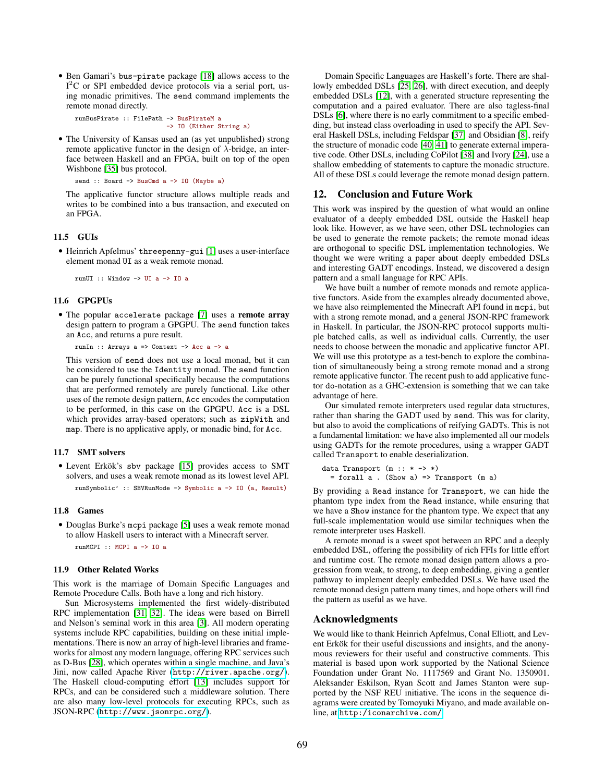• Ben Gamari's bus-pirate package [\[18\]](#page-11-22) allows access to the I <sup>2</sup>C or SPI embedded device protocols via a serial port, using monadic primitives. The send command implements the remote monad directly.

runBusPirate :: FilePath -> BusPirateM a -> IO (Either String a)

• The University of Kansas used an (as yet unpublished) strong remote applicative functor in the design of  $\lambda$ -bridge, an interface between Haskell and an FPGA, built on top of the open Wishbone [\[35\]](#page-11-23) bus protocol.

send :: Board -> BusCmd a -> IO (Maybe a)

The applicative functor structure allows multiple reads and writes to be combined into a bus transaction, and executed on an FPGA.

## 11.5 GUIs

• Heinrich Apfelmus' threepenny-gui [\[1\]](#page-11-24) uses a user-interface element monad UI as a weak remote monad.

runUI :: Window -> UI a -> IO a

#### 11.6 GPGPUs

• The popular accelerate package [\[7\]](#page-11-25) uses a remote array design pattern to program a GPGPU. The send function takes an Acc, and returns a pure result.

runIn :: Arrays a => Context -> Acc a -> a

This version of send does not use a local monad, but it can be considered to use the Identity monad. The send function can be purely functional specifically because the computations that are performed remotely are purely functional. Like other uses of the remote design pattern, Acc encodes the computation to be performed, in this case on the GPGPU. Acc is a DSL which provides array-based operators; such as zipWith and map. There is no applicative apply, or monadic bind, for Acc.

## 11.7 SMT solvers

• Levent Erkök's sbv package [\[15\]](#page-11-26) provides access to SMT solvers, and uses a weak remote monad as its lowest level API. runSymbolic' :: SBVRunMode -> Symbolic a -> IO (a, Result)

#### 11.8 Games

• Douglas Burke's mcpi package [\[5\]](#page-11-27) uses a weak remote monad to allow Haskell users to interact with a Minecraft server. runMCPI :: MCPI a -> IO a

# 11.9 Other Related Works

This work is the marriage of Domain Specific Languages and Remote Procedure Calls. Both have a long and rich history.

Sun Microsystems implemented the first widely-distributed RPC implementation [\[31,](#page-11-28) [32\]](#page-11-29). The ideas were based on Birrell and Nelson's seminal work in this area [\[3\]](#page-11-30). All modern operating systems include RPC capabilities, building on these initial implementations. There is now an array of high-level libraries and frameworks for almost any modern language, offering RPC services such as D-Bus [\[28\]](#page-11-31), which operates within a single machine, and Java's Jini, now called Apache River (<http://river.apache.org/>). The Haskell cloud-computing effort [\[13\]](#page-11-32) includes support for RPCs, and can be considered such a middleware solution. There are also many low-level protocols for executing RPCs, such as JSON-RPC (<http://www.jsonrpc.org/>).

Domain Specific Languages are Haskell's forte. There are shallowly embedded DSLs [\[25,](#page-11-33) [26\]](#page-11-34), with direct execution, and deeply embedded DSLs [\[12\]](#page-11-10), with a generated structure representing the computation and a paired evaluator. There are also tagless-final DSLs [\[6\]](#page-11-35), where there is no early commitment to a specific embedding, but instead class overloading in used to specify the API. Several Haskell DSLs, including Feldspar [\[37\]](#page-11-36) and Obsidian [\[8\]](#page-11-37), reify the structure of monadic code [\[40,](#page-11-38) [41\]](#page-11-39) to generate external imperative code. Other DSLs, including CoPilot [\[38\]](#page-11-40) and Ivory [\[24\]](#page-11-41), use a shallow embedding of statements to capture the monadic structure. All of these DSLs could leverage the remote monad design pattern.

#### 12. Conclusion and Future Work

This work was inspired by the question of what would an online evaluator of a deeply embedded DSL outside the Haskell heap look like. However, as we have seen, other DSL technologies can be used to generate the remote packets; the remote monad ideas are orthogonal to specific DSL implementation technologies. We thought we were writing a paper about deeply embedded DSLs and interesting GADT encodings. Instead, we discovered a design pattern and a small language for RPC APIs.

We have built a number of remote monads and remote applicative functors. Aside from the examples already documented above, we have also reimplemented the Minecraft API found in mcpi, but with a strong remote monad, and a general JSON-RPC framework in Haskell. In particular, the JSON-RPC protocol supports multiple batched calls, as well as individual calls. Currently, the user needs to choose between the monadic and applicative functor API. We will use this prototype as a test-bench to explore the combination of simultaneously being a strong remote monad and a strong remote applicative functor. The recent push to add applicative functor do-notation as a GHC-extension is something that we can take advantage of here.

Our simulated remote interpreters used regular data structures, rather than sharing the GADT used by send. This was for clarity, but also to avoid the complications of reifying GADTs. This is not a fundamental limitation: we have also implemented all our models using GADTs for the remote procedures, using a wrapper GADT called Transport to enable deserialization.

```
data Transport (m :: * -> *)
  = forall a . (Show a) => Transport (m a)
```
By providing a Read instance for Transport, we can hide the phantom type index from the Read instance, while ensuring that we have a Show instance for the phantom type. We expect that any full-scale implementation would use similar techniques when the remote interpreter uses Haskell.

A remote monad is a sweet spot between an RPC and a deeply embedded DSL, offering the possibility of rich FFIs for little effort and runtime cost. The remote monad design pattern allows a progression from weak, to strong, to deep embedding, giving a gentler pathway to implement deeply embedded DSLs. We have used the remote monad design pattern many times, and hope others will find the pattern as useful as we have.

## Acknowledgments

We would like to thank Heinrich Apfelmus, Conal Elliott, and Levent Erkök for their useful discussions and insights, and the anonymous reviewers for their useful and constructive comments. This material is based upon work supported by the National Science Foundation under Grant No. 1117569 and Grant No. 1350901. Aleksander Eskilson, Ryan Scott and James Stanton were supported by the NSF REU initiative. The icons in the sequence diagrams were created by Tomoyuki Miyano, and made available online, at <http:/iconarchive.com/>.